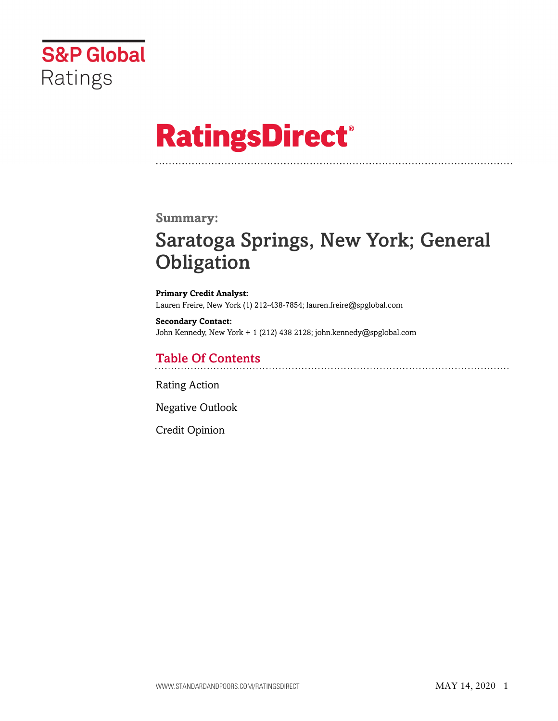

# **RatingsDirect®**

## **Summary:**

## Saratoga Springs, New York; General **Obligation**

**Primary Credit Analyst:** Lauren Freire, New York (1) 212-438-7854; lauren.freire@spglobal.com

**Secondary Contact:** John Kennedy, New York + 1 (212) 438 2128; john.kennedy@spglobal.com

## Table Of Contents

[Rating Action](#page-1-0)

[Negative Outlook](#page-2-0)

[Credit Opinion](#page-2-1)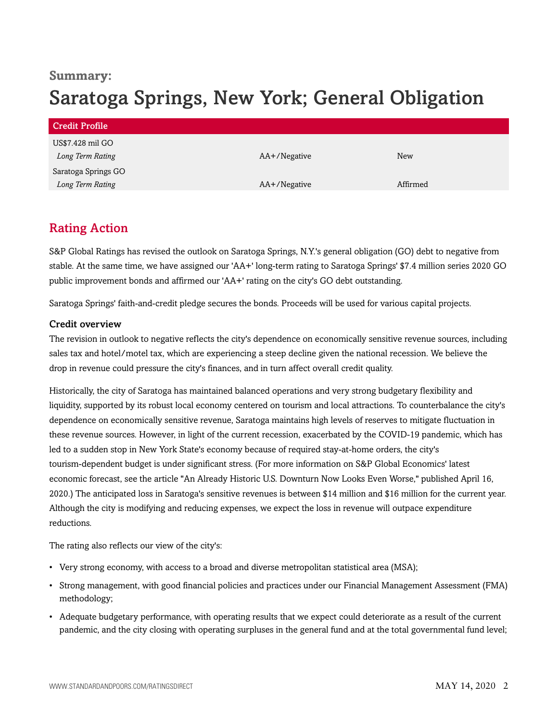## **Summary:**

## Saratoga Springs, New York; General Obligation

| Credit Profile      |              |            |
|---------------------|--------------|------------|
| US\$7.428 mil GO    |              |            |
| Long Term Rating    | AA+/Negative | <b>New</b> |
| Saratoga Springs GO |              |            |
| Long Term Rating    | AA+/Negative | Affirmed   |

## <span id="page-1-0"></span>Rating Action

S&P Global Ratings has revised the outlook on Saratoga Springs, N.Y.'s general obligation (GO) debt to negative from stable. At the same time, we have assigned our 'AA+' long-term rating to Saratoga Springs' \$7.4 million series 2020 GO public improvement bonds and affirmed our 'AA+' rating on the city's GO debt outstanding.

Saratoga Springs' faith-and-credit pledge secures the bonds. Proceeds will be used for various capital projects.

## Credit overview

The revision in outlook to negative reflects the city's dependence on economically sensitive revenue sources, including sales tax and hotel/motel tax, which are experiencing a steep decline given the national recession. We believe the drop in revenue could pressure the city's finances, and in turn affect overall credit quality.

Historically, the city of Saratoga has maintained balanced operations and very strong budgetary flexibility and liquidity, supported by its robust local economy centered on tourism and local attractions. To counterbalance the city's dependence on economically sensitive revenue, Saratoga maintains high levels of reserves to mitigate fluctuation in these revenue sources. However, in light of the current recession, exacerbated by the COVID-19 pandemic, which has led to a sudden stop in New York State's economy because of required stay-at-home orders, the city's tourism-dependent budget is under significant stress. (For more information on S&P Global Economics' latest economic forecast, see the article "An Already Historic U.S. Downturn Now Looks Even Worse," published April 16, 2020.) The anticipated loss in Saratoga's sensitive revenues is between \$14 million and \$16 million for the current year. Although the city is modifying and reducing expenses, we expect the loss in revenue will outpace expenditure reductions.

The rating also reflects our view of the city's:

- Very strong economy, with access to a broad and diverse metropolitan statistical area (MSA);
- Strong management, with good financial policies and practices under our Financial Management Assessment (FMA) methodology;
- Adequate budgetary performance, with operating results that we expect could deteriorate as a result of the current pandemic, and the city closing with operating surpluses in the general fund and at the total governmental fund level;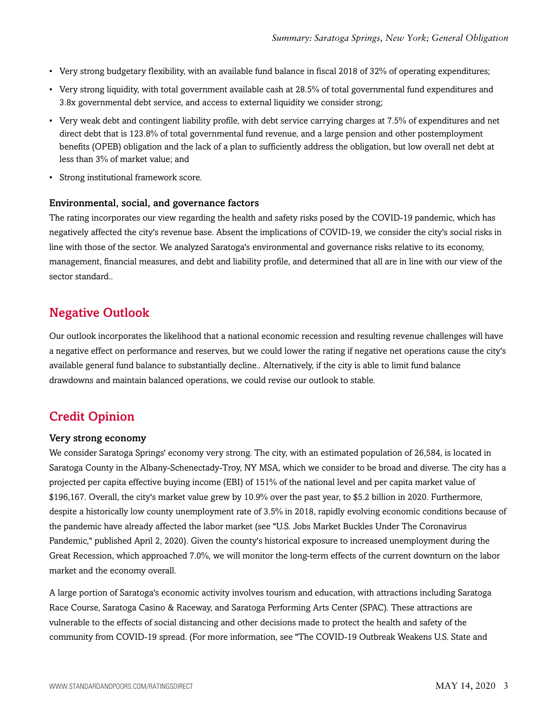- Very strong budgetary flexibility, with an available fund balance in fiscal 2018 of 32% of operating expenditures;
- Very strong liquidity, with total government available cash at 28.5% of total governmental fund expenditures and 3.8x governmental debt service, and access to external liquidity we consider strong;
- Very weak debt and contingent liability profile, with debt service carrying charges at 7.5% of expenditures and net direct debt that is 123.8% of total governmental fund revenue, and a large pension and other postemployment benefits (OPEB) obligation and the lack of a plan to sufficiently address the obligation, but low overall net debt at less than 3% of market value; and
- Strong institutional framework score.

#### Environmental, social, and governance factors

The rating incorporates our view regarding the health and safety risks posed by the COVID-19 pandemic, which has negatively affected the city's revenue base. Absent the implications of COVID-19, we consider the city's social risks in line with those of the sector. We analyzed Saratoga's environmental and governance risks relative to its economy, management, financial measures, and debt and liability profile, and determined that all are in line with our view of the sector standard..

## <span id="page-2-0"></span>Negative Outlook

Our outlook incorporates the likelihood that a national economic recession and resulting revenue challenges will have a negative effect on performance and reserves, but we could lower the rating if negative net operations cause the city's available general fund balance to substantially decline.. Alternatively, if the city is able to limit fund balance drawdowns and maintain balanced operations, we could revise our outlook to stable.

## <span id="page-2-1"></span>Credit Opinion

#### Very strong economy

We consider Saratoga Springs' economy very strong. The city, with an estimated population of 26,584, is located in Saratoga County in the Albany-Schenectady-Troy, NY MSA, which we consider to be broad and diverse. The city has a projected per capita effective buying income (EBI) of 151% of the national level and per capita market value of \$196,167. Overall, the city's market value grew by 10.9% over the past year, to \$5.2 billion in 2020. Furthermore, despite a historically low county unemployment rate of 3.5% in 2018, rapidly evolving economic conditions because of the pandemic have already affected the labor market (see "U.S. Jobs Market Buckles Under The Coronavirus Pandemic," published April 2, 2020). Given the county's historical exposure to increased unemployment during the Great Recession, which approached 7.0%, we will monitor the long-term effects of the current downturn on the labor market and the economy overall.

A large portion of Saratoga's economic activity involves tourism and education, with attractions including Saratoga Race Course, Saratoga Casino & Raceway, and Saratoga Performing Arts Center (SPAC). These attractions are vulnerable to the effects of social distancing and other decisions made to protect the health and safety of the community from COVID-19 spread. (For more information, see "The COVID-19 Outbreak Weakens U.S. State and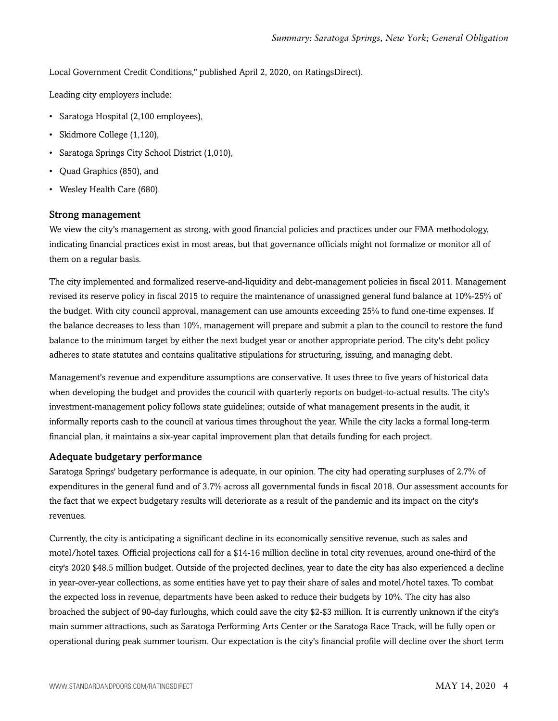Local Government Credit Conditions," published April 2, 2020, on RatingsDirect).

Leading city employers include:

- Saratoga Hospital (2,100 employees),
- Skidmore College (1,120),
- Saratoga Springs City School District (1,010),
- Quad Graphics (850), and
- Wesley Health Care (680).

#### Strong management

We view the city's management as strong, with good financial policies and practices under our FMA methodology, indicating financial practices exist in most areas, but that governance officials might not formalize or monitor all of them on a regular basis.

The city implemented and formalized reserve-and-liquidity and debt-management policies in fiscal 2011. Management revised its reserve policy in fiscal 2015 to require the maintenance of unassigned general fund balance at 10%-25% of the budget. With city council approval, management can use amounts exceeding 25% to fund one-time expenses. If the balance decreases to less than 10%, management will prepare and submit a plan to the council to restore the fund balance to the minimum target by either the next budget year or another appropriate period. The city's debt policy adheres to state statutes and contains qualitative stipulations for structuring, issuing, and managing debt.

Management's revenue and expenditure assumptions are conservative. It uses three to five years of historical data when developing the budget and provides the council with quarterly reports on budget-to-actual results. The city's investment-management policy follows state guidelines; outside of what management presents in the audit, it informally reports cash to the council at various times throughout the year. While the city lacks a formal long-term financial plan, it maintains a six-year capital improvement plan that details funding for each project.

### Adequate budgetary performance

Saratoga Springs' budgetary performance is adequate, in our opinion. The city had operating surpluses of 2.7% of expenditures in the general fund and of 3.7% across all governmental funds in fiscal 2018. Our assessment accounts for the fact that we expect budgetary results will deteriorate as a result of the pandemic and its impact on the city's revenues.

Currently, the city is anticipating a significant decline in its economically sensitive revenue, such as sales and motel/hotel taxes. Official projections call for a \$14-16 million decline in total city revenues, around one-third of the city's 2020 \$48.5 million budget. Outside of the projected declines, year to date the city has also experienced a decline in year-over-year collections, as some entities have yet to pay their share of sales and motel/hotel taxes. To combat the expected loss in revenue, departments have been asked to reduce their budgets by 10%. The city has also broached the subject of 90-day furloughs, which could save the city \$2-\$3 million. It is currently unknown if the city's main summer attractions, such as Saratoga Performing Arts Center or the Saratoga Race Track, will be fully open or operational during peak summer tourism. Our expectation is the city's financial profile will decline over the short term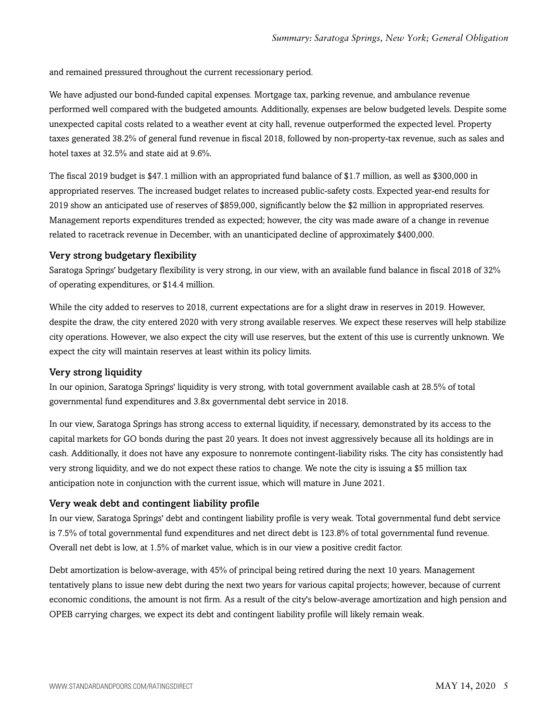and remained pressured throughout the current recessionary period.

We have adjusted our bond-funded capital expenses. Mortgage tax, parking revenue, and ambulance revenue performed well compared with the budgeted amounts. Additionally, expenses are below budgeted levels. Despite some unexpected capital costs related to a weather event at city hall, revenue outperformed the expected level. Property taxes generated 38.2% of general fund revenue in fiscal 2018, followed by non-property-tax revenue, such as sales and hotel taxes at 32.5% and state aid at 9.6%.

The fiscal 2019 budget is \$47.1 million with an appropriated fund balance of \$1.7 million, as well as \$300,000 in appropriated reserves. The increased budget relates to increased public-safety costs. Expected year-end results for 2019 show an anticipated use of reserves of \$859,000, significantly below the \$2 million in appropriated reserves. Management reports expenditures trended as expected; however, the city was made aware of a change in revenue related to racetrack revenue in December, with an unanticipated decline of approximately \$400,000.

#### Very strong budgetary flexibility

Saratoga Springs' budgetary flexibility is very strong, in our view, with an available fund balance in fiscal 2018 of 32% of operating expenditures, or \$14.4 million.

While the city added to reserves to 2018, current expectations are for a slight draw in reserves in 2019. However, despite the draw, the city entered 2020 with very strong available reserves. We expect these reserves will help stabilize city operations. However, we also expect the city will use reserves, but the extent of this use is currently unknown. We expect the city will maintain reserves at least within its policy limits.

#### Very strong liquidity

In our opinion, Saratoga Springs' liquidity is very strong, with total government available cash at 28.5% of total governmental fund expenditures and 3.8x governmental debt service in 2018.

In our view, Saratoga Springs has strong access to external liquidity, if necessary, demonstrated by its access to the capital markets for GO bonds during the past 20 years. It does not invest aggressively because all its holdings are in cash. Additionally, it does not have any exposure to nonremote contingent-liability risks. The city has consistently had very strong liquidity, and we do not expect these ratios to change. We note the city is issuing a \$5 million tax anticipation note in conjunction with the current issue, which will mature in June 2021.

#### Very weak debt and contingent liability profile

In our view, Saratoga Springs' debt and contingent liability profile is very weak. Total governmental fund debt service is 7.5% of total governmental fund expenditures and net direct debt is 123.8% of total governmental fund revenue. Overall net debt is low, at 1.5% of market value, which is in our view a positive credit factor.

Debt amortization is below-average, with 45% of principal being retired during the next 10 years. Management tentatively plans to issue new debt during the next two years for various capital projects; however, because of current economic conditions, the amount is not firm. As a result of the city's below-average amortization and high pension and OPEB carrying charges, we expect its debt and contingent liability profile will likely remain weak.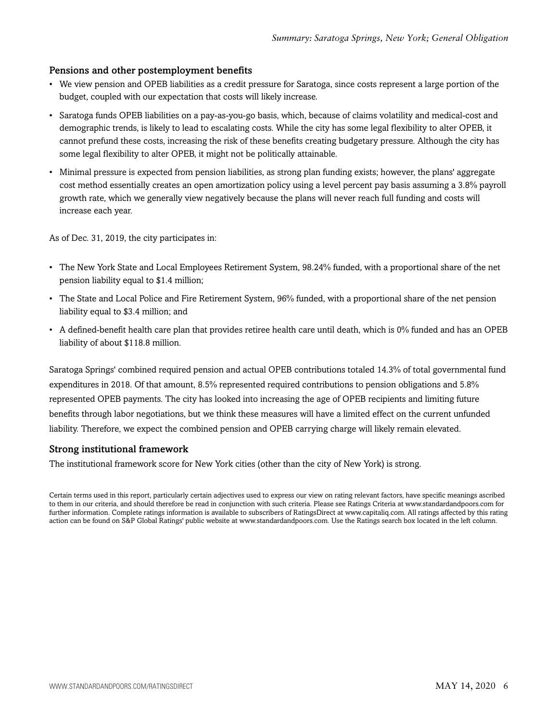## Pensions and other postemployment benefits

- We view pension and OPEB liabilities as a credit pressure for Saratoga, since costs represent a large portion of the budget, coupled with our expectation that costs will likely increase.
- Saratoga funds OPEB liabilities on a pay-as-you-go basis, which, because of claims volatility and medical-cost and demographic trends, is likely to lead to escalating costs. While the city has some legal flexibility to alter OPEB, it cannot prefund these costs, increasing the risk of these benefits creating budgetary pressure. Although the city has some legal flexibility to alter OPEB, it might not be politically attainable.
- Minimal pressure is expected from pension liabilities, as strong plan funding exists; however, the plans' aggregate cost method essentially creates an open amortization policy using a level percent pay basis assuming a 3.8% payroll growth rate, which we generally view negatively because the plans will never reach full funding and costs will increase each year.

As of Dec. 31, 2019, the city participates in:

- The New York State and Local Employees Retirement System, 98.24% funded, with a proportional share of the net pension liability equal to \$1.4 million;
- The State and Local Police and Fire Retirement System, 96% funded, with a proportional share of the net pension liability equal to \$3.4 million; and
- A defined-benefit health care plan that provides retiree health care until death, which is 0% funded and has an OPEB liability of about \$118.8 million.

Saratoga Springs' combined required pension and actual OPEB contributions totaled 14.3% of total governmental fund expenditures in 2018. Of that amount, 8.5% represented required contributions to pension obligations and 5.8% represented OPEB payments. The city has looked into increasing the age of OPEB recipients and limiting future benefits through labor negotiations, but we think these measures will have a limited effect on the current unfunded liability. Therefore, we expect the combined pension and OPEB carrying charge will likely remain elevated.

### Strong institutional framework

The institutional framework score for New York cities (other than the city of New York) is strong.

Certain terms used in this report, particularly certain adjectives used to express our view on rating relevant factors, have specific meanings ascribed to them in our criteria, and should therefore be read in conjunction with such criteria. Please see Ratings Criteria at www.standardandpoors.com for further information. Complete ratings information is available to subscribers of RatingsDirect at www.capitaliq.com. All ratings affected by this rating action can be found on S&P Global Ratings' public website at www.standardandpoors.com. Use the Ratings search box located in the left column.